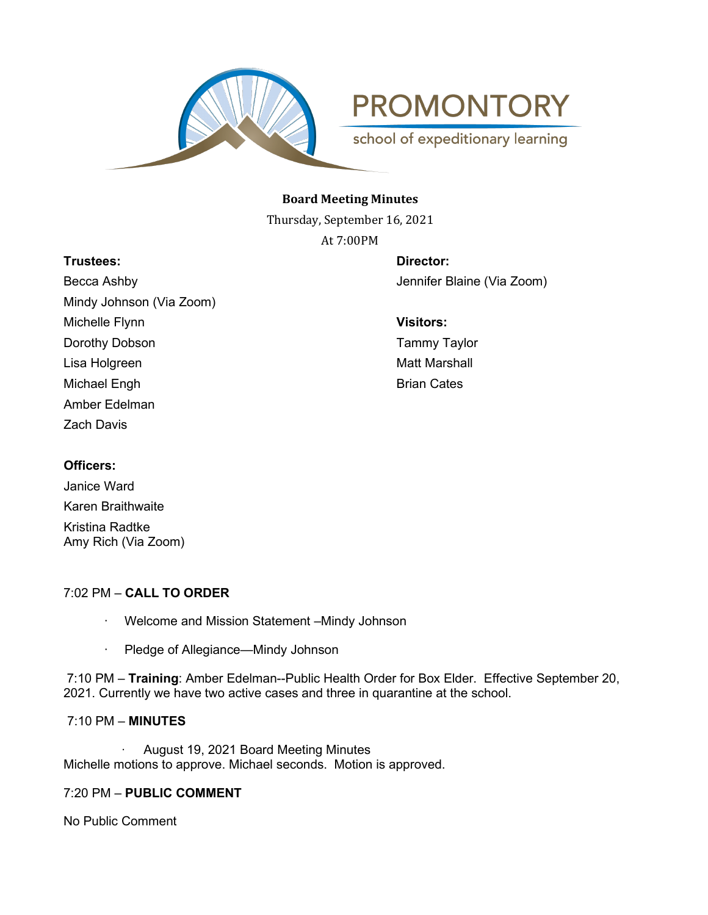

**PROMONTORY** 

school of expeditionary learning

## **Board Meeting Minutes**

Thursday, September 16, 2021 At 7:00PM

## **Trustees: Director:**

Becca Ashby Jennifer Blaine (Via Zoom) Mindy Johnson (Via Zoom) Michelle Flynn **Visitors:** Dorothy Dobson **Tammy Taylor** Lisa Holgreen Matt Marshall and Matt Marshall and Matt Marshall Michael Engh Brian Cates Amber Edelman Zach Davis

# **Officers:**

Janice Ward Karen Braithwaite Kristina Radtke Amy Rich (Via Zoom)

# 7:02 PM – **CALL TO ORDER**

- · Welcome and Mission Statement –Mindy Johnson
- · Pledge of Allegiance—Mindy Johnson

7:10 PM – **Training**: Amber Edelman--Public Health Order for Box Elder. Effective September 20, 2021. Currently we have two active cases and three in quarantine at the school.

# 7:10 PM – **MINUTES**

· August 19, 2021 Board Meeting Minutes Michelle motions to approve. Michael seconds. Motion is approved.

# 7:20 PM – **PUBLIC COMMENT**

No Public Comment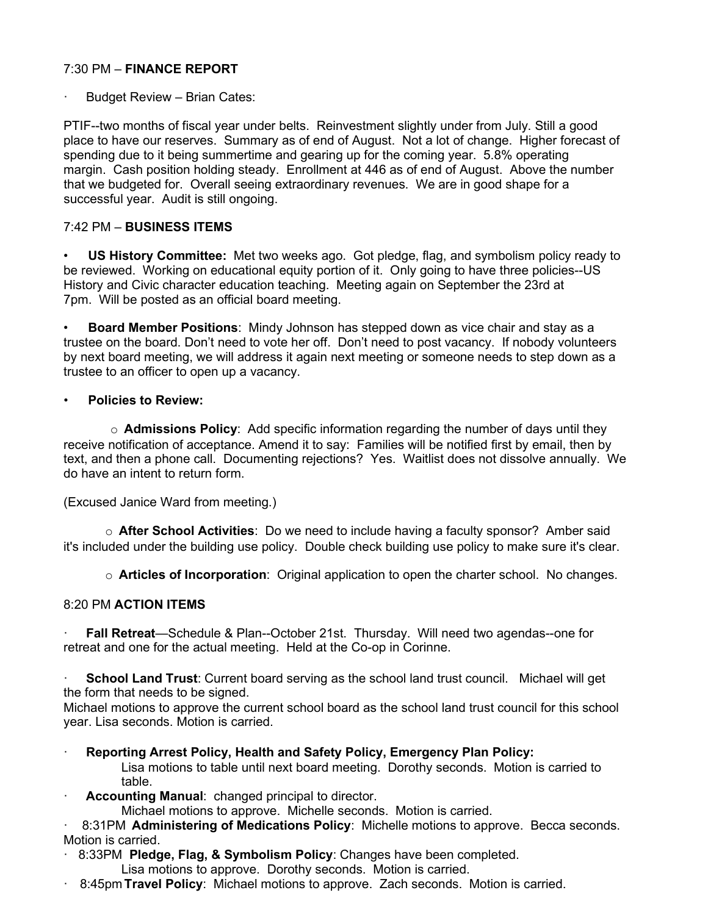## 7:30 PM – **FINANCE REPORT**

Budget Review – Brian Cates:

PTIF--two months of fiscal year under belts. Reinvestment slightly under from July. Still a good place to have our reserves. Summary as of end of August. Not a lot of change. Higher forecast of spending due to it being summertime and gearing up for the coming year. 5.8% operating margin. Cash position holding steady. Enrollment at 446 as of end of August. Above the number that we budgeted for. Overall seeing extraordinary revenues. We are in good shape for a successful year. Audit is still ongoing.

#### 7:42 PM – **BUSINESS ITEMS**

• **US History Committee:** Met two weeks ago. Got pledge, flag, and symbolism policy ready to be reviewed. Working on educational equity portion of it. Only going to have three policies--US History and Civic character education teaching. Meeting again on September the 23rd at 7pm. Will be posted as an official board meeting.

• **Board Member Positions**: Mindy Johnson has stepped down as vice chair and stay as a trustee on the board. Don't need to vote her off. Don't need to post vacancy. If nobody volunteers by next board meeting, we will address it again next meeting or someone needs to step down as a trustee to an officer to open up a vacancy.

#### • **Policies to Review:**

o **Admissions Policy**: Add specific information regarding the number of days until they receive notification of acceptance. Amend it to say: Families will be notified first by email, then by text, and then a phone call. Documenting rejections? Yes. Waitlist does not dissolve annually. We do have an intent to return form.

(Excused Janice Ward from meeting.)

o **After School Activities**: Do we need to include having a faculty sponsor? Amber said it's included under the building use policy. Double check building use policy to make sure it's clear.

o **Articles of Incorporation**: Original application to open the charter school. No changes.

### 8:20 PM **ACTION ITEMS**

· **Fall Retreat**—Schedule & Plan--October 21st. Thursday. Will need two agendas--one for retreat and one for the actual meeting. Held at the Co-op in Corinne.

**School Land Trust**: Current board serving as the school land trust council. Michael will get the form that needs to be signed.

Michael motions to approve the current school board as the school land trust council for this school year. Lisa seconds. Motion is carried.

· **Reporting Arrest Policy, Health and Safety Policy, Emergency Plan Policy:** Lisa motions to table until next board meeting. Dorothy seconds. Motion is carried to table.

**Accounting Manual: changed principal to director.** 

Michael motions to approve. Michelle seconds. Motion is carried.

· 8:31PM **Administering of Medications Policy**: Michelle motions to approve. Becca seconds. Motion is carried.

· 8:33PM **Pledge, Flag, & Symbolism Policy**: Changes have been completed.

- Lisa motions to approve. Dorothy seconds. Motion is carried.
- · 8:45pm **Travel Policy**: Michael motions to approve. Zach seconds. Motion is carried.